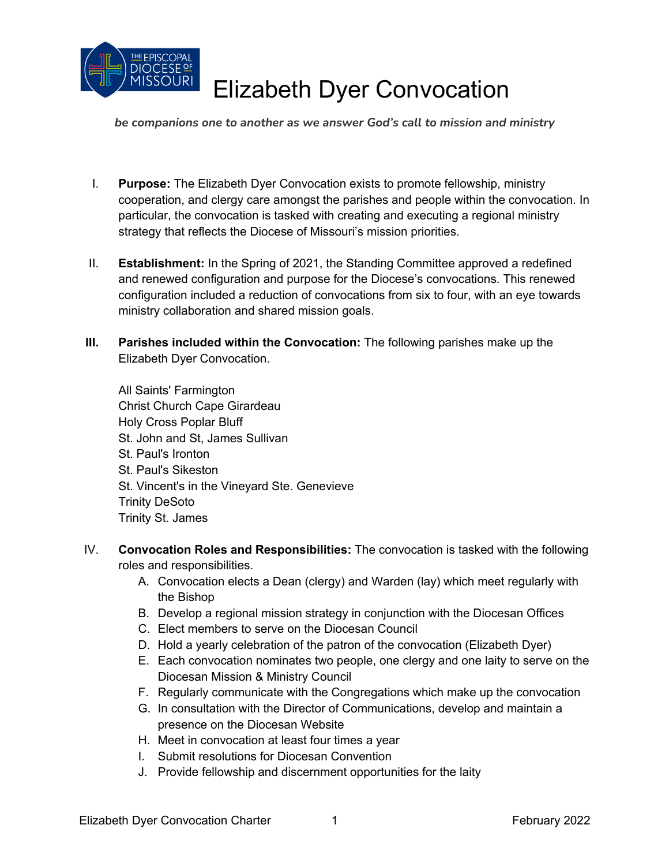

*be companions one to another as we answer God's call to mission and ministry*

- I. **Purpose:** The Elizabeth Dyer Convocation exists to promote fellowship, ministry cooperation, and clergy care amongst the parishes and people within the convocation. In particular, the convocation is tasked with creating and executing a regional ministry strategy that reflects the Diocese of Missouri's mission priorities.
- II. **Establishment:** In the Spring of 2021, the Standing Committee approved a redefined and renewed configuration and purpose for the Diocese's convocations. This renewed configuration included a reduction of convocations from six to four, with an eye towards ministry collaboration and shared mission goals.
- **III. Parishes included within the Convocation:** The following parishes make up the Elizabeth Dyer Convocation.

All Saints' Farmington Christ Church Cape Girardeau Holy Cross Poplar Bluff St. John and St, James Sullivan St. Paul's Ironton St. Paul's Sikeston St. Vincent's in the Vineyard Ste. Genevieve Trinity DeSoto Trinity St. James

- IV. **Convocation Roles and Responsibilities:** The convocation is tasked with the following roles and responsibilities.
	- A. Convocation elects a Dean (clergy) and Warden (lay) which meet regularly with the Bishop
	- B. Develop a regional mission strategy in conjunction with the Diocesan Offices
	- C. Elect members to serve on the Diocesan Council
	- D. Hold a yearly celebration of the patron of the convocation (Elizabeth Dyer)
	- E. Each convocation nominates two people, one clergy and one laity to serve on the Diocesan Mission & Ministry Council
	- F. Regularly communicate with the Congregations which make up the convocation
	- G. In consultation with the Director of Communications, develop and maintain a presence on the Diocesan Website
	- H. Meet in convocation at least four times a year
	- I. Submit resolutions for Diocesan Convention
	- J. Provide fellowship and discernment opportunities for the laity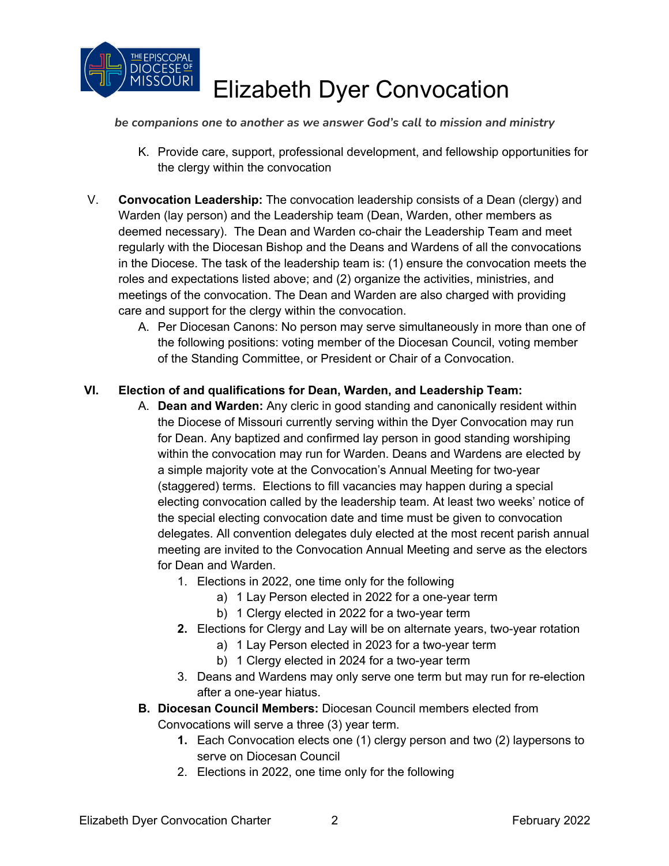

#### *be companions one to another as we answer God's call to mission and ministry*

- K. Provide care, support, professional development, and fellowship opportunities for the clergy within the convocation
- V. **Convocation Leadership:** The convocation leadership consists of a Dean (clergy) and Warden (lay person) and the Leadership team (Dean, Warden, other members as deemed necessary). The Dean and Warden co-chair the Leadership Team and meet regularly with the Diocesan Bishop and the Deans and Wardens of all the convocations in the Diocese. The task of the leadership team is: (1) ensure the convocation meets the roles and expectations listed above; and (2) organize the activities, ministries, and meetings of the convocation. The Dean and Warden are also charged with providing care and support for the clergy within the convocation.
	- A. Per Diocesan Canons: No person may serve simultaneously in more than one of the following positions: voting member of the Diocesan Council, voting member of the Standing Committee, or President or Chair of a Convocation.

#### **VI. Election of and qualifications for Dean, Warden, and Leadership Team:**

- A. **Dean and Warden:** Any cleric in good standing and canonically resident within the Diocese of Missouri currently serving within the Dyer Convocation may run for Dean. Any baptized and confirmed lay person in good standing worshiping within the convocation may run for Warden. Deans and Wardens are elected by a simple majority vote at the Convocation's Annual Meeting for two-year (staggered) terms. Elections to fill vacancies may happen during a special electing convocation called by the leadership team. At least two weeks' notice of the special electing convocation date and time must be given to convocation delegates. All convention delegates duly elected at the most recent parish annual meeting are invited to the Convocation Annual Meeting and serve as the electors for Dean and Warden.
	- 1. Elections in 2022, one time only for the following
		- a) 1 Lay Person elected in 2022 for a one-year term
		- b) 1 Clergy elected in 2022 for a two-year term
	- **2.** Elections for Clergy and Lay will be on alternate years, two-year rotation
		- a) 1 Lay Person elected in 2023 for a two-year term
			- b) 1 Clergy elected in 2024 for a two-year term
	- 3. Deans and Wardens may only serve one term but may run for re-election after a one-year hiatus.
- **B. Diocesan Council Members:** Diocesan Council members elected from Convocations will serve a three (3) year term.
	- **1.** Each Convocation elects one (1) clergy person and two (2) laypersons to serve on Diocesan Council
	- 2. Elections in 2022, one time only for the following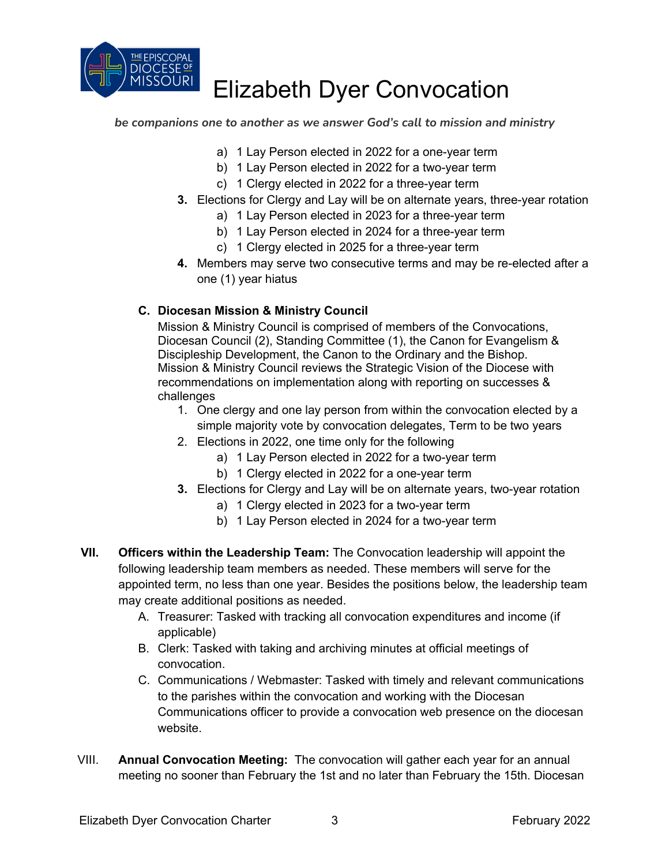

*be companions one to another as we answer God's call to mission and ministry*

- a) 1 Lay Person elected in 2022 for a one-year term
- b) 1 Lay Person elected in 2022 for a two-year term
- c) 1 Clergy elected in 2022 for a three-year term
- **3.** Elections for Clergy and Lay will be on alternate years, three-year rotation
	- a) 1 Lay Person elected in 2023 for a three-year term
	- b) 1 Lay Person elected in 2024 for a three-year term
	- c) 1 Clergy elected in 2025 for a three-year term
- **4.** Members may serve two consecutive terms and may be re-elected after a one (1) year hiatus

#### **C. Diocesan Mission & Ministry Council**

Mission & Ministry Council is comprised of members of the Convocations, Diocesan Council (2), Standing Committee (1), the Canon for Evangelism & Discipleship Development, the Canon to the Ordinary and the Bishop. Mission & Ministry Council reviews the Strategic Vision of the Diocese with recommendations on implementation along with reporting on successes & challenges

- 1. One clergy and one lay person from within the convocation elected by a simple majority vote by convocation delegates, Term to be two years
- 2. Elections in 2022, one time only for the following
	- a) 1 Lay Person elected in 2022 for a two-year term
	- b) 1 Clergy elected in 2022 for a one-year term
- **3.** Elections for Clergy and Lay will be on alternate years, two-year rotation
	- a) 1 Clergy elected in 2023 for a two-year term
	- b) 1 Lay Person elected in 2024 for a two-year term
- **VII. Officers within the Leadership Team:** The Convocation leadership will appoint the following leadership team members as needed. These members will serve for the appointed term, no less than one year. Besides the positions below, the leadership team may create additional positions as needed.
	- A. Treasurer: Tasked with tracking all convocation expenditures and income (if applicable)
	- B. Clerk: Tasked with taking and archiving minutes at official meetings of convocation.
	- C. Communications / Webmaster: Tasked with timely and relevant communications to the parishes within the convocation and working with the Diocesan Communications officer to provide a convocation web presence on the diocesan website.
- VIII. **Annual Convocation Meeting:** The convocation will gather each year for an annual meeting no sooner than February the 1st and no later than February the 15th. Diocesan